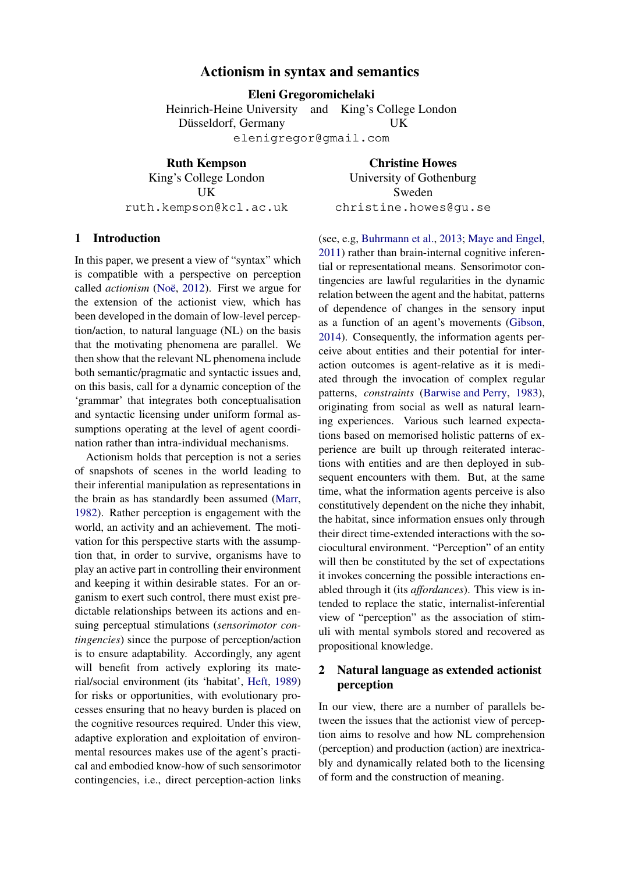# **Actionism in syntax and semantics**

**Eleni Gregoromichelaki**

Heinrich-Heine University and King's College London Düsseldorf, Germany UK

elenigregor@gmail.com

**Ruth Kempson** King's College London UK ruth.kempson@kcl.ac.uk

**Christine Howes** University of Gothenburg Sweden christine.howes@gu.se

# **1 Introduction**

In this paper, we present a view of "syntax" which is compatible with a perspective on perception called *actionism* (Noë, [2012\)](#page-15-0). First we argue for the extension of the actionist view, which has been developed in the domain of low-level perception/action, to natural language (NL) on the basis that the motivating phenomena are parallel. We then show that the relevant NL phenomena include both semantic/pragmatic and syntactic issues and, on this basis, call for a dynamic conception of the 'grammar' that integrates both conceptualisation and syntactic licensing under uniform formal assumptions operating at the level of agent coordination rather than intra-individual mechanisms.

Actionism holds that perception is not a series of snapshots of scenes in the world leading to their inferential manipulation as representations in the brain as has standardly been assumed [\(Marr,](#page-15-1) [1982\)](#page-15-1). Rather perception is engagement with the world, an activity and an achievement. The motivation for this perspective starts with the assumption that, in order to survive, organisms have to play an active part in controlling their environment and keeping it within desirable states. For an organism to exert such control, there must exist predictable relationships between its actions and ensuing perceptual stimulations (*sensorimotor contingencies*) since the purpose of perception/action is to ensure adaptability. Accordingly, any agent will benefit from actively exploring its material/social environment (its 'habitat', [Heft](#page-14-0), [1989\)](#page-14-0) for risks or opportunities, with evolutionary processes ensuring that no heavy burden is placed on the cognitive resources required. Under this view, adaptive exploration and exploitation of environmental resources makes use of the agent's practical and embodied know-how of such sensorimotor contingencies, i.e., direct perception-action links (see, e.g, [Buhrmann et al.,](#page-13-0) [2013;](#page-13-0) [Maye and Engel,](#page-15-2) [2011](#page-15-2)) rather than brain-internal cognitive inferential or representational means. Sensorimotor contingencies are lawful regularities in the dynamic relation between the agent and the habitat, patterns of dependence of changes in the sensory input as a function of an agent's movements [\(Gibson,](#page-14-1) [2014](#page-14-1)). Consequently, the information agents perceive about entities and their potential for interaction outcomes is agent-relative as it is mediated through the invocation of complex regular patterns, *constraints* [\(Barwise and Perry](#page-13-1), [1983](#page-13-1)), originating from social as well as natural learning experiences. Various such learned expectations based on memorised holistic patterns of experience are built up through reiterated interactions with entities and are then deployed in subsequent encounters with them. But, at the same time, what the information agents perceive is also constitutively dependent on the niche they inhabit, the habitat, since information ensues only through their direct time-extended interactions with the sociocultural environment. "Perception" of an entity will then be constituted by the set of expectations it invokes concerning the possible interactions enabled through it (its *affordances*). This view is intended to replace the static, internalist-inferential view of "perception" as the association of stimuli with mental symbols stored and recovered as propositional knowledge.

# **2 Natural language as extended actionist perception**

In our view, there are a number of parallels between the issues that the actionist view of perception aims to resolve and how NL comprehension (perception) and production (action) are inextricably and dynamically related both to the licensing of form and the construction of meaning.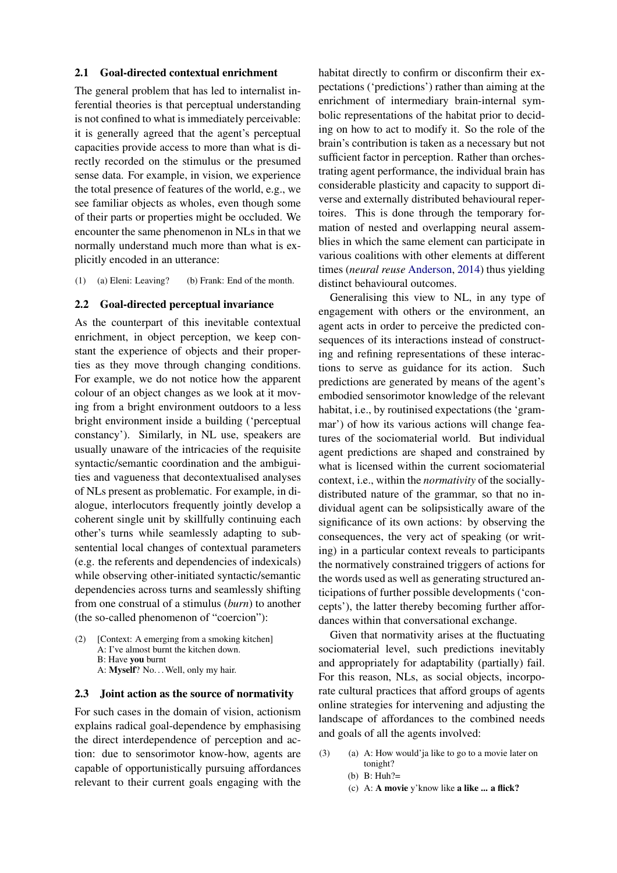### **2.1 Goal-directed contextual enrichment**

The general problem that has led to internalist inferential theories is that perceptual understanding is not confined to what is immediately perceivable: it is generally agreed that the agent's perceptual capacities provide access to more than what is directly recorded on the stimulus or the presumed sense data. For example, in vision, we experience the total presence of features of the world, e.g., we see familiar objects as wholes, even though some of their parts or properties might be occluded. We encounter the same phenomenon in NLs in that we normally understand much more than what is explicitly encoded in an utterance:

<span id="page-1-2"></span>(1) (a) Eleni: Leaving? (b) Frank: End of the month.

#### **2.2 Goal-directed perceptual invariance**

As the counterpart of this inevitable contextual enrichment, in object perception, we keep constant the experience of objects and their properties as they move through changing conditions. For example, we do not notice how the apparent colour of an object changes as we look at it moving from a bright environment outdoors to a less bright environment inside a building ('perceptual constancy'). Similarly, in NL use, speakers are usually unaware of the intricacies of the requisite syntactic/semantic coordination and the ambiguities and vagueness that decontextualised analyses of NLs present as problematic. For example, in dialogue, interlocutors frequently jointly develop a coherent single unit by skillfully continuing each other's turns while seamlessly adapting to subsentential local changes of contextual parameters (e.g. the referents and dependencies of indexicals) while observing other-initiated syntactic/semantic dependencies across turns and seamlessly shifting from one construal of a stimulus (*burn*) to another (the so-called phenomenon of "coercion"):

<span id="page-1-0"></span>(2) [Context: A emerging from a smoking kitchen] A: I've almost burnt the kitchen down. B: Have **you** burnt A: Myself? No... Well, only my hair.

#### **2.3 Joint action as the source of normativity**

For such cases in the domain of vision, actionism explains radical goal-dependence by emphasising the direct interdependence of perception and action: due to sensorimotor know-how, agents are capable of opportunistically pursuing affordances relevant to their current goals engaging with the habitat directly to confirm or disconfirm their expectations ('predictions') rather than aiming at the enrichment of intermediary brain-internal symbolic representations of the habitat prior to deciding on how to act to modify it. So the role of the brain's contribution is taken as a necessary but not sufficient factor in perception. Rather than orchestrating agent performance, the individual brain has considerable plasticity and capacity to support diverse and externally distributed behavioural repertoires. This is done through the temporary formation of nested and overlapping neural assemblies in which the same element can participate in various coalitions with other elements at different times (*neural reuse* [Anderson,](#page-13-2) [2014\)](#page-13-2) thus yielding distinct behavioural outcomes.

Generalising this view to NL, in any type of engagement with others or the environment, an agent acts in order to perceive the predicted consequences of its interactions instead of constructing and refining representations of these interactions to serve as guidance for its action. Such predictions are generated by means of the agent's embodied sensorimotor knowledge of the relevant habitat, i.e., by routinised expectations (the 'grammar') of how its various actions will change features of the sociomaterial world. But individual agent predictions are shaped and constrained by what is licensed within the current sociomaterial context, i.e., within the *normativity* of the sociallydistributed nature of the grammar, so that no individual agent can be solipsistically aware of the significance of its own actions: by observing the consequences, the very act of speaking (or writing) in a particular context reveals to participants the normatively constrained triggers of actions for the words used as well as generating structured anticipations of further possible developments ('concepts'), the latter thereby becoming further affordances within that conversational exchange.

Given that normativity arises at the fluctuating sociomaterial level, such predictions inevitably and appropriately for adaptability (partially) fail. For this reason, NLs, as social objects, incorporate cultural practices that afford groups of agents online strategies for intervening and adjusting the landscape of affordances to the combined needs and goals of all the agents involved:

- <span id="page-1-1"></span>(3) (a) A: How would'ja like to go to a movie later on tonight?
	- (b) B: Huh?=
	- (c) A: **A movie** y'know like **a like ... a flick?**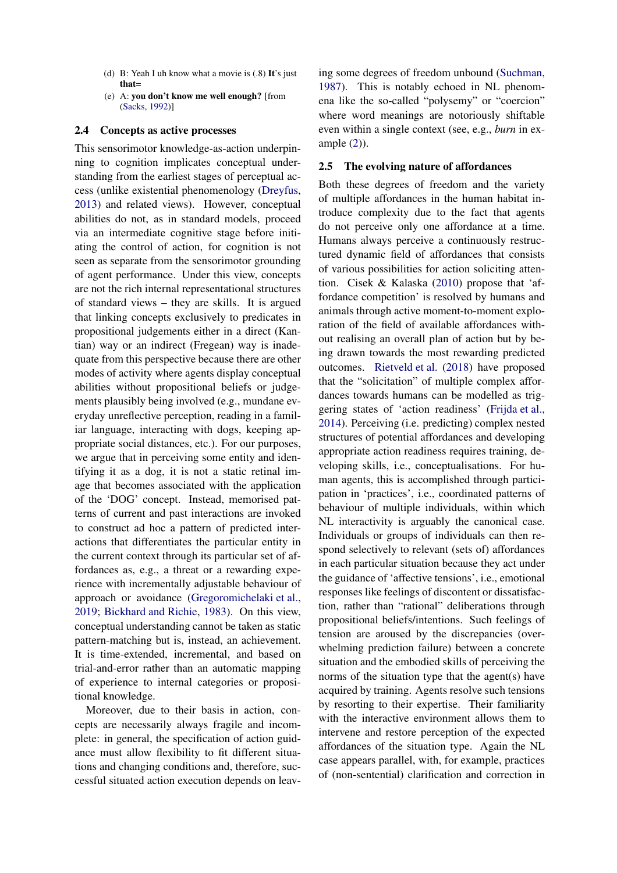- (d) B: Yeah I uh know what a movie is (.8) **It**'s just **that**=
- (e) A: **you don't know me well enough?** [from [\(Sacks,](#page-15-3) [1992\)](#page-15-3)]

#### **2.4 Concepts as active processes**

This sensorimotor knowledge-as-action underpinning to cognition implicates conceptual understanding from the earliest stages of perceptual access (unlike existential phenomenology [\(Dreyfus,](#page-13-3) [2013\)](#page-13-3) and related views). However, conceptual abilities do not, as in standard models, proceed via an intermediate cognitive stage before initiating the control of action, for cognition is not seen as separate from the sensorimotor grounding of agent performance. Under this view, concepts are not the rich internal representational structures of standard views – they are skills. It is argued that linking concepts exclusively to predicates in propositional judgements either in a direct (Kantian) way or an indirect (Fregean) way is inadequate from this perspective because there are other modes of activity where agents display conceptual abilities without propositional beliefs or judgements plausibly being involved (e.g., mundane everyday unreflective perception, reading in a familiar language, interacting with dogs, keeping appropriate social distances, etc.). For our purposes, we argue that in perceiving some entity and identifying it as a dog, it is not a static retinal image that becomes associated with the application of the 'DOG' concept. Instead, memorised patterns of current and past interactions are invoked to construct ad hoc a pattern of predicted interactions that differentiates the particular entity in the current context through its particular set of affordances as, e.g., a threat or a rewarding experience with incrementally adjustable behaviour of approach or avoidance [\(Gregoromichelaki et al.,](#page-14-2) [2019;](#page-14-2) [Bickhard and Richie](#page-13-4), [1983](#page-13-4)). On this view, conceptual understanding cannot be taken as static pattern-matching but is, instead, an achievement. It is time-extended, incremental, and based on trial-and-error rather than an automatic mapping of experience to internal categories or propositional knowledge.

Moreover, due to their basis in action, concepts are necessarily always fragile and incomplete: in general, the specification of action guidance must allow flexibility to fit different situations and changing conditions and, therefore, successful situated action execution depends on leaving some degrees of freedom unbound [\(Suchman,](#page-15-4) [1987](#page-15-4)). This is notably echoed in NL phenomena like the so-called "polysemy" or "coercion" where word meanings are notoriously shiftable even within a single context (see, e.g., *burn* in example [\(2\)](#page-1-0)).

## **2.5 The evolving nature of affordances**

Both these degrees of freedom and the variety of multiple affordances in the human habitat introduce complexity due to the fact that agents do not perceive only one affordance at a time. Humans always perceive a continuously restructured dynamic field of affordances that consists of various possibilities for action soliciting attention. Cisek & Kalaska [\(2010](#page-13-5)) propose that 'affordance competition' is resolved by humans and animals through active moment-to-moment exploration of the field of available affordances without realising an overall plan of action but by being drawn towards the most rewarding predicted outcomes. [Rietveld et al.](#page-15-5) [\(2018](#page-15-5)) have proposed that the "solicitation" of multiple complex affordances towards humans can be modelled as triggering states of 'action readiness' [\(Frijda et al.,](#page-14-3) [2014](#page-14-3)). Perceiving (i.e. predicting) complex nested structures of potential affordances and developing appropriate action readiness requires training, developing skills, i.e., conceptualisations. For human agents, this is accomplished through participation in 'practices', i.e., coordinated patterns of behaviour of multiple individuals, within which NL interactivity is arguably the canonical case. Individuals or groups of individuals can then respond selectively to relevant (sets of) affordances in each particular situation because they act under the guidance of 'affective tensions', i.e., emotional responses like feelings of discontent or dissatisfaction, rather than "rational" deliberations through propositional beliefs/intentions. Such feelings of tension are aroused by the discrepancies (overwhelming prediction failure) between a concrete situation and the embodied skills of perceiving the norms of the situation type that the agent(s) have acquired by training. Agents resolve such tensions by resorting to their expertise. Their familiarity with the interactive environment allows them to intervene and restore perception of the expected affordances of the situation type. Again the NL case appears parallel, with, for example, practices of (non-sentential) clarification and correction in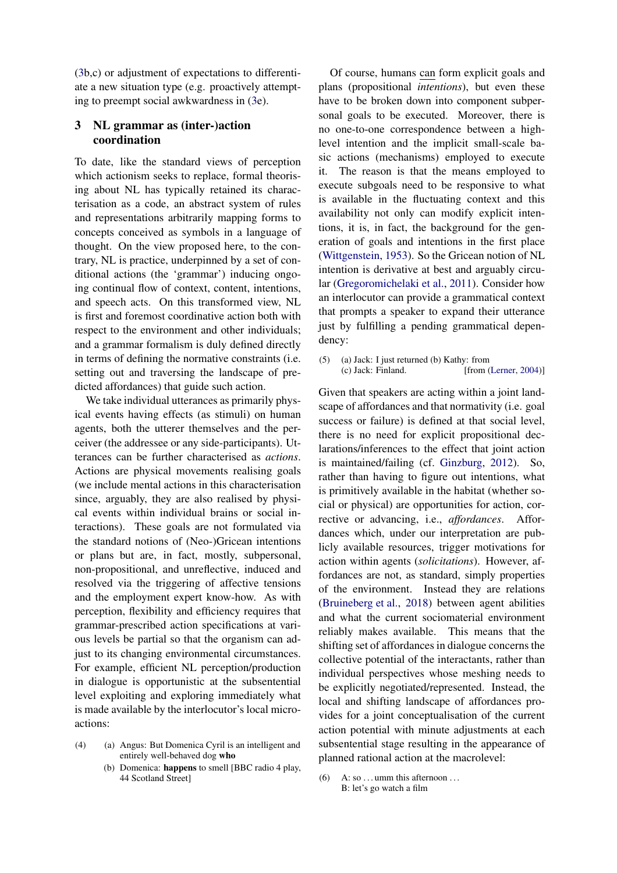[\(3b](#page-1-1),c) or adjustment of expectations to differentiate a new situation type (e.g. proactively attempting to preempt social awkwardness in [\(3e](#page-1-1)).

# **3 NL grammar as (inter-)action coordination**

To date, like the standard views of perception which actionism seeks to replace, formal theorising about NL has typically retained its characterisation as a code, an abstract system of rules and representations arbitrarily mapping forms to concepts conceived as symbols in a language of thought. On the view proposed here, to the contrary, NL is practice, underpinned by a set of conditional actions (the 'grammar') inducing ongoing continual flow of context, content, intentions, and speech acts. On this transformed view, NL is first and foremost coordinative action both with respect to the environment and other individuals; and a grammar formalism is duly defined directly in terms of defining the normative constraints (i.e. setting out and traversing the landscape of predicted affordances) that guide such action.

We take individual utterances as primarily physical events having effects (as stimuli) on human agents, both the utterer themselves and the perceiver (the addressee or any side-participants). Utterances can be further characterised as *actions*. Actions are physical movements realising goals (we include mental actions in this characterisation since, arguably, they are also realised by physical events within individual brains or social interactions). These goals are not formulated via the standard notions of (Neo-)Gricean intentions or plans but are, in fact, mostly, subpersonal, non-propositional, and unreflective, induced and resolved via the triggering of affective tensions and the employment expert know-how. As with perception, flexibility and efficiency requires that grammar-prescribed action specifications at various levels be partial so that the organism can adjust to its changing environmental circumstances. For example, efficient NL perception/production in dialogue is opportunistic at the subsentential level exploiting and exploring immediately what is made available by the interlocutor's local microactions:

- <span id="page-3-2"></span>(4) (a) Angus: But Domenica Cyril is an intelligent and entirely well-behaved dog **who**
	- (b) Domenica: **happens** to smell [BBC radio 4 play, 44 Scotland Street]

Of course, humans can form explicit goals and plans (propositional *intentions*), but even these have to be broken down into component subpersonal goals to be executed. Moreover, there is no one-to-one correspondence between a highlevel intention and the implicit small-scale basic actions (mechanisms) employed to execute it. The reason is that the means employed to execute subgoals need to be responsive to what is available in the fluctuating context and this availability not only can modify explicit intentions, it is, in fact, the background for the generation of goals and intentions in the first place [\(Wittgenstein](#page-15-6), [1953](#page-15-6)). So the Gricean notion of NL intention is derivative at best and arguably circular [\(Gregoromichelaki et al.](#page-14-4), [2011](#page-14-4)). Consider how an interlocutor can provide a grammatical context that prompts a speaker to expand their utterance just by fulfilling a pending grammatical dependency:

<span id="page-3-1"></span>(5) (a) Jack: I just returned (b) Kathy: from<br>(c) Jack: Finland. [from (  $[from (Lerner, 2004)]$  $[from (Lerner, 2004)]$  $[from (Lerner, 2004)]$  $[from (Lerner, 2004)]$  $[from (Lerner, 2004)]$ 

Given that speakers are acting within a joint landscape of affordances and that normativity (i.e. goal success or failure) is defined at that social level, there is no need for explicit propositional declarations/inferences to the effect that joint action is maintained/failing (cf. [Ginzburg](#page-14-5), [2012\)](#page-14-5). So, rather than having to figure out intentions, what is primitively available in the habitat (whether social or physical) are opportunities for action, corrective or advancing, i.e., *affordances*. Affordances which, under our interpretation are publicly available resources, trigger motivations for action within agents (*solicitations*). However, affordances are not, as standard, simply properties of the environment. Instead they are relations [\(Bruineberg et al.,](#page-13-6) [2018](#page-13-6)) between agent abilities and what the current sociomaterial environment reliably makes available. This means that the shifting set of affordances in dialogue concerns the collective potential of the interactants, rather than individual perspectives whose meshing needs to be explicitly negotiated/represented. Instead, the local and shifting landscape of affordances provides for a joint conceptualisation of the current action potential with minute adjustments at each subsentential stage resulting in the appearance of planned rational action at the macrolevel:

<span id="page-3-0"></span>(6) A: so . . . umm this afternoon . . . B: let's go watch a film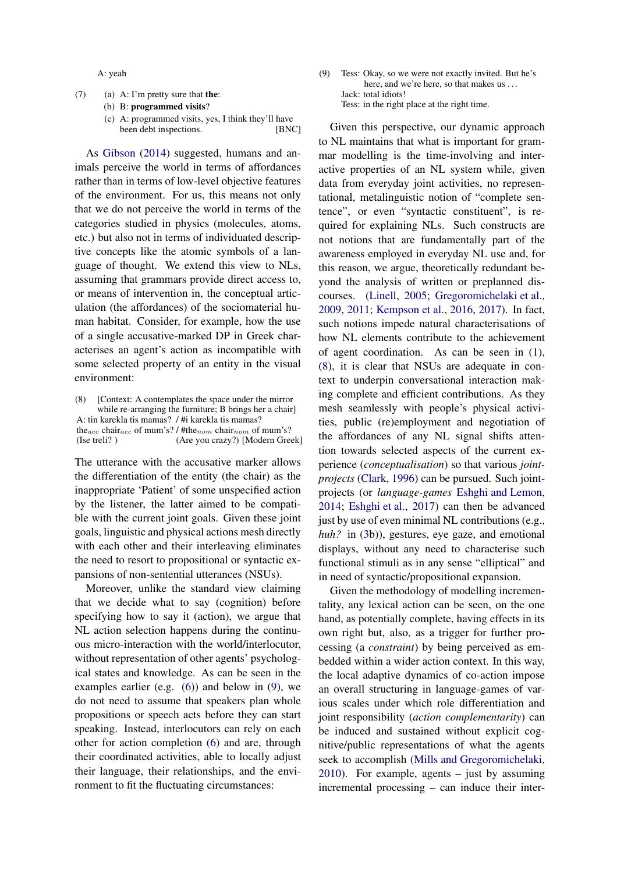A: yeah

- <span id="page-4-2"></span>(7) (a) A: I'm pretty sure that **the**:
	- (b) B: **programmed visits**?
	- (c) A: programmed visits, yes, I think they'll have been debt inspections. [BNC]

As [Gibson](#page-14-1) [\(2014](#page-14-1)) suggested, humans and animals perceive the world in terms of affordances rather than in terms of low-level objective features of the environment. For us, this means not only that we do not perceive the world in terms of the categories studied in physics (molecules, atoms, etc.) but also not in terms of individuated descriptive concepts like the atomic symbols of a language of thought. We extend this view to NLs, assuming that grammars provide direct access to, or means of intervention in, the conceptual articulation (the affordances) of the sociomaterial human habitat. Consider, for example, how the use of a single accusative-marked DP in Greek characterises an agent's action as incompatible with some selected property of an entity in the visual environment:

<span id="page-4-1"></span>(8) [Context: A contemplates the space under the mirror while re-arranging the furniture; B brings her a chair] A: tin karekla tis mamas? / #i karekla tis mamas? the<sub>acc</sub> chair<sub>acc</sub> of mum's? / #the<sub>nom</sub> chair<sub>nom</sub> of mum's? (Ise treli? ) (Are you crazy?) [Modern Greek]

The utterance with the accusative marker allows the differentiation of the entity (the chair) as the inappropriate 'Patient' of some unspecified action by the listener, the latter aimed to be compatible with the current joint goals. Given these joint goals, linguistic and physical actions mesh directly with each other and their interleaving eliminates the need to resort to propositional or syntactic expansions of non-sentential utterances (NSUs).

Moreover, unlike the standard view claiming that we decide what to say (cognition) before specifying how to say it (action), we argue that NL action selection happens during the continuous micro-interaction with the world/interlocutor, without representation of other agents' psychological states and knowledge. As can be seen in the examples earlier (e.g.  $(6)$ ) and below in [\(9\)](#page-4-0), we do not need to assume that speakers plan whole propositions or speech acts before they can start speaking. Instead, interlocutors can rely on each other for action completion [\(6\)](#page-3-0) and are, through their coordinated activities, able to locally adjust their language, their relationships, and the environment to fit the fluctuating circumstances:

<span id="page-4-0"></span>(9) Tess: Okay, so we were not exactly invited. But he's here, and we're here, so that makes us ... Jack: total idiots! Tess: in the right place at the right time.

Given this perspective, our dynamic approach to NL maintains that what is important for grammar modelling is the time-involving and interactive properties of an NL system while, given data from everyday joint activities, no representational, metalinguistic notion of "complete sentence", or even "syntactic constituent", is required for explaining NLs. Such constructs are not notions that are fundamentally part of the awareness employed in everyday NL use and, for this reason, we argue, theoretically redundant beyond the analysis of written or preplanned discourses. [\(Linell](#page-15-8), [2005;](#page-15-8) [Gregoromichelaki et al.,](#page-14-6) [2009](#page-14-6), [2011;](#page-14-4) [Kempson et al.](#page-15-9), [2016,](#page-15-9) [2017\)](#page-15-10). In fact, such notions impede natural characterisations of how NL elements contribute to the achievement of agent coordination. As can be seen in [\(1\)](#page-1-2), [\(8\)](#page-4-1), it is clear that NSUs are adequate in context to underpin conversational interaction making complete and efficient contributions. As they mesh seamlessly with people's physical activities, public (re)employment and negotiation of the affordances of any NL signal shifts attention towards selected aspects of the current experience (*conceptualisation*) so that various *jointprojects* [\(Clark](#page-13-7), [1996\)](#page-13-7) can be pursued. Such jointprojects (or *language-games* [Eshghi and Lemon,](#page-14-7) [2014](#page-14-7); [Eshghi et al.,](#page-14-8) [2017\)](#page-14-8) can then be advanced just by use of even minimal NL contributions (e.g., *huh?* in [\(3b](#page-1-1))), gestures, eye gaze, and emotional displays, without any need to characterise such functional stimuli as in any sense "elliptical" and in need of syntactic/propositional expansion.

Given the methodology of modelling incrementality, any lexical action can be seen, on the one hand, as potentially complete, having effects in its own right but, also, as a trigger for further processing (a *constraint*) by being perceived as embedded within a wider action context. In this way, the local adaptive dynamics of co-action impose an overall structuring in language-games of various scales under which role differentiation and joint responsibility (*action complementarity*) can be induced and sustained without explicit cognitive/public representations of what the agents seek to accomplish [\(Mills and Gregoromichelaki,](#page-15-11) [2010](#page-15-11)). For example, agents – just by assuming incremental processing – can induce their inter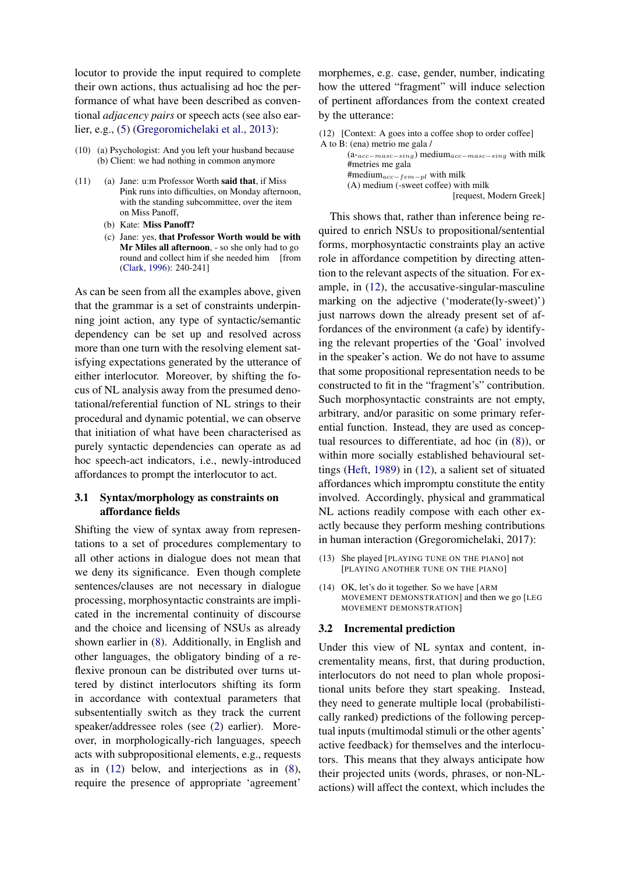locutor to provide the input required to complete their own actions, thus actualising ad hoc the performance of what have been described as conventional *adjacency pairs* or speech acts (see also earlier, e.g., [\(5\)](#page-3-1) [\(Gregoromichelaki et al.,](#page-14-9) [2013](#page-14-9)):

- (10) (a) Psychologist: And you left your husband because (b) Client: we had nothing in common anymore
- <span id="page-5-1"></span>(11) (a) Jane: u:m Professor Worth **said that**, if Miss Pink runs into difficulties, on Monday afternoon, with the standing subcommittee, over the item on Miss Panoff,
	- (b) Kate: **Miss Panoff?**
	- (c) Jane: yes, **that Professor Worth would be with Mr Miles all afternoon**, - so she only had to go round and collect him if she needed him [from [\(Clark,](#page-13-7) [1996\)](#page-13-7): 240-241]

As can be seen from all the examples above, given that the grammar is a set of constraints underpinning joint action, any type of syntactic/semantic dependency can be set up and resolved across more than one turn with the resolving element satisfying expectations generated by the utterance of either interlocutor. Moreover, by shifting the focus of NL analysis away from the presumed denotational/referential function of NL strings to their procedural and dynamic potential, we can observe that initiation of what have been characterised as purely syntactic dependencies can operate as ad hoc speech-act indicators, i.e., newly-introduced affordances to prompt the interlocutor to act.

# **3.1 Syntax/morphology as constraints on affordance fields**

Shifting the view of syntax away from representations to a set of procedures complementary to all other actions in dialogue does not mean that we deny its significance. Even though complete sentences/clauses are not necessary in dialogue processing, morphosyntactic constraints are implicated in the incremental continuity of discourse and the choice and licensing of NSUs as already shown earlier in [\(8\)](#page-4-1). Additionally, in English and other languages, the obligatory binding of a reflexive pronoun can be distributed over turns uttered by distinct interlocutors shifting its form in accordance with contextual parameters that subsententially switch as they track the current speaker/addressee roles (see [\(2\)](#page-1-0) earlier). Moreover, in morphologically-rich languages, speech acts with subpropositional elements, e.g., requests as in [\(12\)](#page-5-0) below, and interjections as in [\(8\)](#page-4-1), require the presence of appropriate 'agreement'

morphemes, e.g. case, gender, number, indicating how the uttered "fragment" will induce selection of pertinent affordances from the context created by the utterance:

<span id="page-5-0"></span>(12) [Context: A goes into a coffee shop to order coffee] A to B: (ena) metrio me gala / (a-acc−masc−sing) mediumacc−masc−sing with milk #metries me gala #mediumacc−fem−pl with milk (A) medium (-sweet coffee) with milk [request, Modern Greek]

This shows that, rather than inference being required to enrich NSUs to propositional/sentential forms, morphosyntactic constraints play an active role in affordance competition by directing attention to the relevant aspects of the situation. For example, in [\(12\)](#page-5-0), the accusative-singular-masculine marking on the adjective ('moderate(ly-sweet)') just narrows down the already present set of affordances of the environment (a cafe) by identifying the relevant properties of the 'Goal' involved in the speaker's action. We do not have to assume that some propositional representation needs to be constructed to fit in the "fragment's" contribution. Such morphosyntactic constraints are not empty, arbitrary, and/or parasitic on some primary referential function. Instead, they are used as conceptual resources to differentiate, ad hoc (in [\(8\)](#page-4-1)), or within more socially established behavioural settings [\(Heft,](#page-14-0) [1989](#page-14-0)) in [\(12\)](#page-5-0), a salient set of situated affordances which impromptu constitute the entity involved. Accordingly, physical and grammatical NL actions readily compose with each other exactly because they perform meshing contributions in human interaction (Gregoromichelaki, 2017):

- <span id="page-5-2"></span>(13) She played [PLAYING TUNE ON THE PIANO] not [PLAYING ANOTHER TUNE ON THE PIANO]
- <span id="page-5-3"></span>(14) OK, let's do it together. So we have [ARM MOVEMENT DEMONSTRATION] and then we go [LEG MOVEMENT DEMONSTRATION]

## **3.2 Incremental prediction**

Under this view of NL syntax and content, incrementality means, first, that during production, interlocutors do not need to plan whole propositional units before they start speaking. Instead, they need to generate multiple local (probabilistically ranked) predictions of the following perceptual inputs (multimodal stimuli or the other agents' active feedback) for themselves and the interlocutors. This means that they always anticipate how their projected units (words, phrases, or non-NLactions) will affect the context, which includes the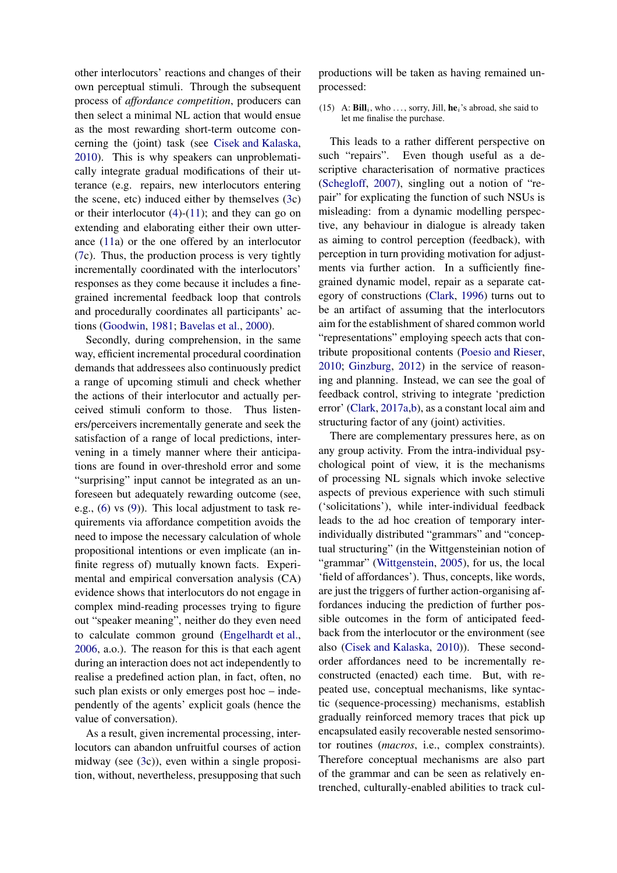other interlocutors' reactions and changes of their own perceptual stimuli. Through the subsequent process of *affordance competition*, producers can then select a minimal NL action that would ensue as the most rewarding short-term outcome concerning the (joint) task (see [Cisek and Kalaska,](#page-13-5) [2010\)](#page-13-5). This is why speakers can unproblematically integrate gradual modifications of their utterance (e.g. repairs, new interlocutors entering the scene, etc) induced either by themselves [\(3c](#page-1-1)) or their interlocutor  $(4)-(11)$  $(4)-(11)$ ; and they can go on extending and elaborating either their own utterance [\(11a](#page-5-1)) or the one offered by an interlocutor [\(7c](#page-4-2)). Thus, the production process is very tightly incrementally coordinated with the interlocutors' responses as they come because it includes a finegrained incremental feedback loop that controls and procedurally coordinates all participants' actions [\(Goodwin](#page-14-10), [1981](#page-14-10); [Bavelas et al.](#page-13-8), [2000\)](#page-13-8).

Secondly, during comprehension, in the same way, efficient incremental procedural coordination demands that addressees also continuously predict a range of upcoming stimuli and check whether the actions of their interlocutor and actually perceived stimuli conform to those. Thus listeners/perceivers incrementally generate and seek the satisfaction of a range of local predictions, intervening in a timely manner where their anticipations are found in over-threshold error and some "surprising" input cannot be integrated as an unforeseen but adequately rewarding outcome (see, e.g., [\(6\)](#page-3-0) vs [\(9\)](#page-4-0)). This local adjustment to task requirements via affordance competition avoids the need to impose the necessary calculation of whole propositional intentions or even implicate (an infinite regress of) mutually known facts. Experimental and empirical conversation analysis (CA) evidence shows that interlocutors do not engage in complex mind-reading processes trying to figure out "speaker meaning", neither do they even need to calculate common ground [\(Engelhardt et al.,](#page-13-9) [2006,](#page-13-9) a.o.). The reason for this is that each agent during an interaction does not act independently to realise a predefined action plan, in fact, often, no such plan exists or only emerges post hoc – independently of the agents' explicit goals (hence the value of conversation).

As a result, given incremental processing, interlocutors can abandon unfruitful courses of action midway (see [\(3c](#page-1-1))), even within a single proposition, without, nevertheless, presupposing that such productions will be taken as having remained unprocessed:

#### <span id="page-6-0"></span>(15) A:  $\text{Bill}_i$ , who ..., sorry, Jill,  $\text{he}_i$ 's abroad, she said to let me finalise the purchase.

This leads to a rather different perspective on such "repairs". Even though useful as a descriptive characterisation of normative practices [\(Schegloff,](#page-15-12) [2007](#page-15-12)), singling out a notion of "repair" for explicating the function of such NSUs is misleading: from a dynamic modelling perspective, any behaviour in dialogue is already taken as aiming to control perception (feedback), with perception in turn providing motivation for adjustments via further action. In a sufficiently finegrained dynamic model, repair as a separate category of constructions [\(Clark](#page-13-7), [1996\)](#page-13-7) turns out to be an artifact of assuming that the interlocutors aim for the establishment of shared common world "representations" employing speech acts that contribute propositional contents [\(Poesio and Rieser,](#page-15-13) [2010](#page-15-13); [Ginzburg](#page-14-5), [2012](#page-14-5)) in the service of reasoning and planning. Instead, we can see the goal of feedback control, striving to integrate 'prediction error' [\(Clark](#page-13-10), [2017a](#page-13-10)[,b](#page-13-11)), as a constant local aim and structuring factor of any (joint) activities.

There are complementary pressures here, as on any group activity. From the intra-individual psychological point of view, it is the mechanisms of processing NL signals which invoke selective aspects of previous experience with such stimuli ('solicitations'), while inter-individual feedback leads to the ad hoc creation of temporary interindividually distributed "grammars" and "conceptual structuring" (in the Wittgensteinian notion of "grammar" [\(Wittgenstein,](#page-15-14) [2005](#page-15-14)), for us, the local 'field of affordances'). Thus, concepts, like words, are just the triggers of further action-organising affordances inducing the prediction of further possible outcomes in the form of anticipated feedback from the interlocutor or the environment (see also [\(Cisek and Kalaska](#page-13-5), [2010\)](#page-13-5)). These secondorder affordances need to be incrementally reconstructed (enacted) each time. But, with repeated use, conceptual mechanisms, like syntactic (sequence-processing) mechanisms, establish gradually reinforced memory traces that pick up encapsulated easily recoverable nested sensorimotor routines (*macros*, i.e., complex constraints). Therefore conceptual mechanisms are also part of the grammar and can be seen as relatively entrenched, culturally-enabled abilities to track cul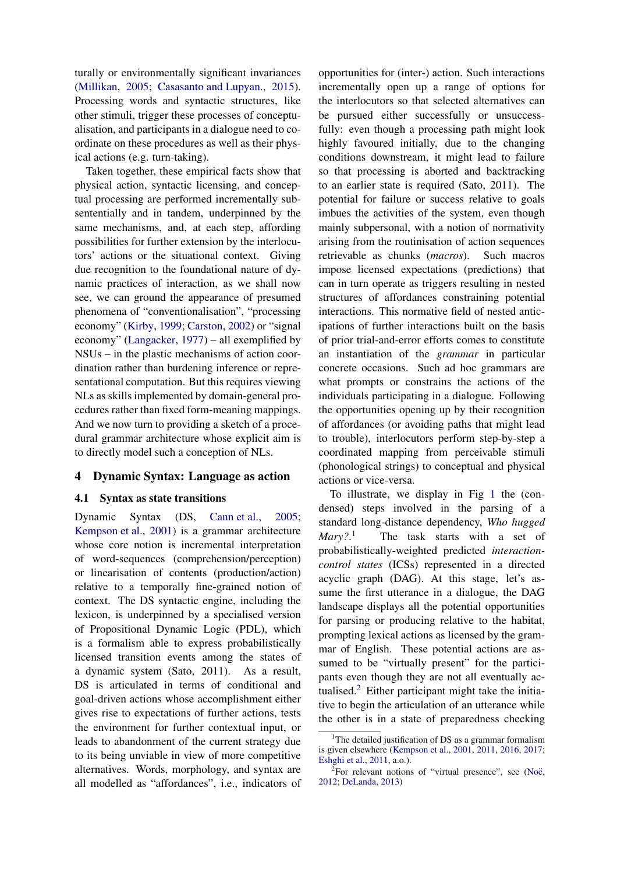turally or environmentally significant invariances [\(Millikan](#page-15-15), [2005](#page-15-15); [Casasanto and Lupyan.,](#page-13-12) [2015\)](#page-13-12). Processing words and syntactic structures, like other stimuli, trigger these processes of conceptualisation, and participants in a dialogue need to coordinate on these procedures as well as their physical actions (e.g. turn-taking).

Taken together, these empirical facts show that physical action, syntactic licensing, and conceptual processing are performed incrementally subsententially and in tandem, underpinned by the same mechanisms, and, at each step, affording possibilities for further extension by the interlocutors' actions or the situational context. Giving due recognition to the foundational nature of dynamic practices of interaction, as we shall now see, we can ground the appearance of presumed phenomena of "conventionalisation", "processing economy" [\(Kirby](#page-15-16), [1999](#page-15-16); [Carston,](#page-13-13) [2002\)](#page-13-13) or "signal economy" [\(Langacker](#page-15-17), [1977\)](#page-15-17) – all exemplified by NSUs – in the plastic mechanisms of action coordination rather than burdening inference or representational computation. But this requires viewing NLs as skills implemented by domain-general procedures rather than fixed form-meaning mappings. And we now turn to providing a sketch of a procedural grammar architecture whose explicit aim is to directly model such a conception of NLs.

# **4 Dynamic Syntax: Language as action**

# **4.1 Syntax as state transitions**

Dynamic Syntax (DS, [Cann et al.](#page-13-14), [2005](#page-13-14); [Kempson et al.](#page-14-11), [2001](#page-14-11)) is a grammar architecture whose core notion is incremental interpretation of word-sequences (comprehension/perception) or linearisation of contents (production/action) relative to a temporally fine-grained notion of context. The DS syntactic engine, including the lexicon, is underpinned by a specialised version of Propositional Dynamic Logic (PDL), which is a formalism able to express probabilistically licensed transition events among the states of a dynamic system (Sato, 2011). As a result, DS is articulated in terms of conditional and goal-driven actions whose accomplishment either gives rise to expectations of further actions, tests the environment for further contextual input, or leads to abandonment of the current strategy due to its being unviable in view of more competitive alternatives. Words, morphology, and syntax are all modelled as "affordances", i.e., indicators of opportunities for (inter-) action. Such interactions incrementally open up a range of options for the interlocutors so that selected alternatives can be pursued either successfully or unsuccessfully: even though a processing path might look highly favoured initially, due to the changing conditions downstream, it might lead to failure so that processing is aborted and backtracking to an earlier state is required (Sato, 2011). The potential for failure or success relative to goals imbues the activities of the system, even though mainly subpersonal, with a notion of normativity arising from the routinisation of action sequences retrievable as chunks (*macros*). Such macros impose licensed expectations (predictions) that can in turn operate as triggers resulting in nested structures of affordances constraining potential interactions. This normative field of nested anticipations of further interactions built on the basis of prior trial-and-error efforts comes to constitute an instantiation of the *grammar* in particular concrete occasions. Such ad hoc grammars are what prompts or constrains the actions of the individuals participating in a dialogue. Following the opportunities opening up by their recognition of affordances (or avoiding paths that might lead to trouble), interlocutors perform step-by-step a coordinated mapping from perceivable stimuli (phonological strings) to conceptual and physical actions or vice-versa.

To illustrate, we display in Fig [1](#page-8-0) the (condensed) steps involved in the parsing of a standard long-distance dependency, *Who hugged Mary?*. The task starts with a set of probabilistically-weighted predicted *interactioncontrol states* (ICSs) represented in a directed acyclic graph (DAG). At this stage, let's assume the first utterance in a dialogue, the DAG landscape displays all the potential opportunities for parsing or producing relative to the habitat, prompting lexical actions as licensed by the grammar of English. These potential actions are assumed to be "virtually present" for the participants even though they are not all eventually actualised. $2$  Either participant might take the initiative to begin the articulation of an utterance while the other is in a state of preparedness checking

<sup>&</sup>lt;sup>1</sup>The detailed justification of DS as a grammar formalism is given elsewhere [\(Kempson et al.,](#page-14-11) [2001](#page-14-11), [2011,](#page-14-12) [2016](#page-15-9), [2017](#page-15-10); [Eshghi et al.,](#page-14-13) [2011](#page-14-13), a.o.).

<sup>&</sup>lt;sup>2</sup>For relevant notions of "virtual presence", see (Noë, [2012](#page-15-0); [DeLanda,](#page-13-15) [2013](#page-13-15))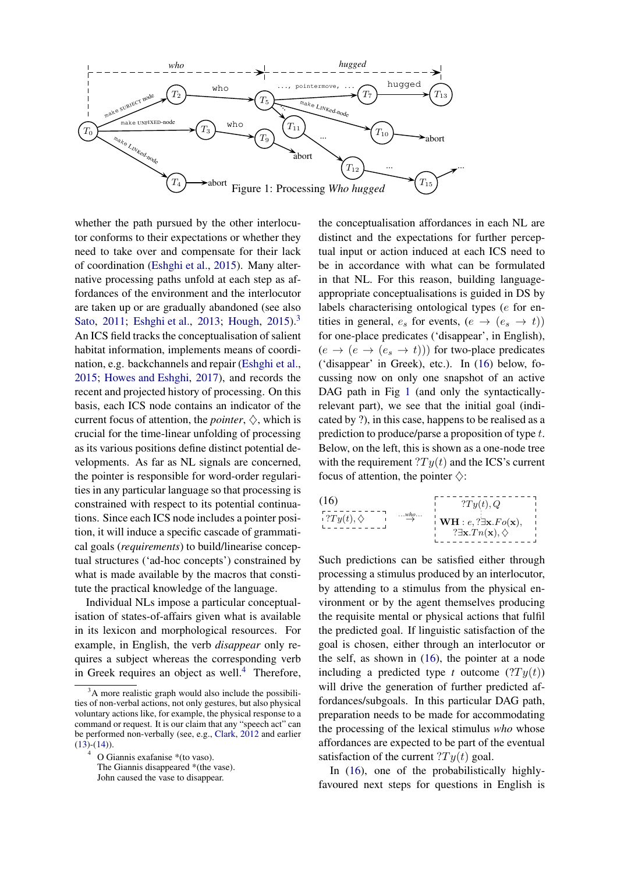

whether the path pursued by the other interlocutor conforms to their expectations or whether they need to take over and compensate for their lack of coordination [\(Eshghi et al.](#page-14-14), [2015](#page-14-14)). Many alternative processing paths unfold at each step as affordances of the environment and the interlocutor are taken up or are gradually abandoned (see also [Sato](#page-15-18), [2011;](#page-15-18) [Eshghi et al.,](#page-14-15) [2013](#page-14-15); [Hough](#page-14-16), [2015](#page-14-16)).<sup>3</sup> An ICS field tracks the conceptualisation of salient habitat information, implements means of coordination, e.g. backchannels and repair [\(Eshghi et al.,](#page-14-14) [2015;](#page-14-14) [Howes and Eshghi](#page-14-17), [2017\)](#page-14-17), and records the recent and projected history of processing. On this basis, each ICS node contains an indicator of the current focus of attention, the *pointer*,  $\Diamond$ , which is crucial for the time-linear unfolding of processing as its various positions define distinct potential developments. As far as NL signals are concerned, the pointer is responsible for word-order regularities in any particular language so that processing is constrained with respect to its potential continuations. Since each ICS node includes a pointer position, it will induce a specific cascade of grammatical goals (*requirements*) to build/linearise conceptual structures ('ad-hoc concepts') constrained by what is made available by the macros that constitute the practical knowledge of the language.

Individual NLs impose a particular conceptualisation of states-of-affairs given what is available in its lexicon and morphological resources. For example, in English, the verb *disappear* only requires a subject whereas the corresponding verb in Greek requires an object as well. $4$  Therefore,

4

<span id="page-8-0"></span>the conceptualisation affordances in each NL are distinct and the expectations for further perceptual input or action induced at each ICS need to be in accordance with what can be formulated in that NL. For this reason, building languageappropriate conceptualisations is guided in DS by labels characterising ontological types (e for entities in general,  $e_s$  for events,  $(e \rightarrow (e_s \rightarrow t))$ for one-place predicates ('disappear', in English),  $(e \rightarrow (e \rightarrow (e_s \rightarrow t)))$  for two-place predicates ('disappear' in Greek), etc.). In [\(16\)](#page-8-1) below, focussing now on only one snapshot of an active DAG path in Fig [1](#page-8-0) (and only the syntacticallyrelevant part), we see that the initial goal (indicated by ?), in this case, happens to be realised as a prediction to produce/parse a proposition of type t. Below, on the left, this is shown as a one-node tree with the requirement  $T y(t)$  and the ICS's current focus of attention, the pointer  $\diamond$ :

<span id="page-8-1"></span>

Such predictions can be satisfied either through processing a stimulus produced by an interlocutor, by attending to a stimulus from the physical environment or by the agent themselves producing the requisite mental or physical actions that fulfil the predicted goal. If linguistic satisfaction of the goal is chosen, either through an interlocutor or the self, as shown in [\(16\)](#page-8-1), the pointer at a node including a predicted type *t* outcome  $(Ty(t))$ will drive the generation of further predicted affordances/subgoals. In this particular DAG path, preparation needs to be made for accommodating the processing of the lexical stimulus *who* whose affordances are expected to be part of the eventual satisfaction of the current  $T y(t)$  goal.

In [\(16\)](#page-8-1), one of the probabilistically highlyfavoured next steps for questions in English is

 $3A$  more realistic graph would also include the possibilities of non-verbal actions, not only gestures, but also physical voluntary actions like, for example, the physical response to a command or request. It is our claim that any "speech act" can be performed non-verbally (see, e.g., [Clark](#page-13-16), [2012](#page-13-16) and earlier  $(13)-(14)$  $(13)-(14)$  $(13)-(14)$ ).

O Giannis exafanise \*(to vaso).

The Giannis disappeared \*(the vase).

John caused the vase to disappear.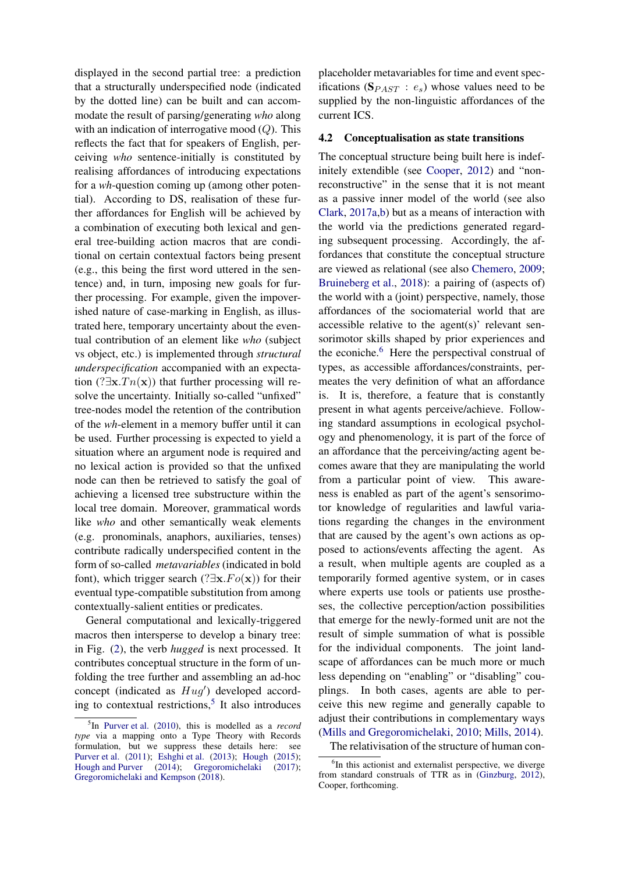displayed in the second partial tree: a prediction that a structurally underspecified node (indicated by the dotted line) can be built and can accommodate the result of parsing/generating *who* along with an indication of interrogative mood  $(Q)$ . This reflects the fact that for speakers of English, perceiving *who* sentence-initially is constituted by realising affordances of introducing expectations for a *wh*-question coming up (among other potential). According to DS, realisation of these further affordances for English will be achieved by a combination of executing both lexical and general tree-building action macros that are conditional on certain contextual factors being present (e.g., this being the first word uttered in the sentence) and, in turn, imposing new goals for further processing. For example, given the impoverished nature of case-marking in English, as illustrated here, temporary uncertainty about the eventual contribution of an element like *who* (subject vs object, etc.) is implemented through *structural underspecification* accompanied with an expectation (? $\exists x.Tn(x)$ ) that further processing will resolve the uncertainty. Initially so-called "unfixed" tree-nodes model the retention of the contribution of the *wh*-element in a memory buffer until it can be used. Further processing is expected to yield a situation where an argument node is required and no lexical action is provided so that the unfixed node can then be retrieved to satisfy the goal of achieving a licensed tree substructure within the local tree domain. Moreover, grammatical words like *who* and other semantically weak elements (e.g. pronominals, anaphors, auxiliaries, tenses) contribute radically underspecified content in the form of so-called *metavariables* (indicated in bold font), which trigger search (?∃x. $Fo(x)$ ) for their eventual type-compatible substitution from among contextually-salient entities or predicates.

General computational and lexically-triggered macros then intersperse to develop a binary tree: in Fig. [\(2\)](#page-10-0), the verb *hugged* is next processed. It contributes conceptual structure in the form of unfolding the tree further and assembling an ad-hoc concept (indicated as  $Hug'$ ) developed according to contextual restrictions, $5$  It also introduces

placeholder metavariables for time and event specifications ( $\mathbf{S}_{PAST}$ :  $e_s$ ) whose values need to be supplied by the non-linguistic affordances of the current ICS.

#### <span id="page-9-0"></span>**4.2 Conceptualisation as state transitions**

The conceptual structure being built here is indefinitely extendible (see [Cooper](#page-13-17), [2012](#page-13-17)) and "nonreconstructive" in the sense that it is not meant as a passive inner model of the world (see also [Clark,](#page-13-10) [2017a](#page-13-10)[,b\)](#page-13-11) but as a means of interaction with the world via the predictions generated regarding subsequent processing. Accordingly, the affordances that constitute the conceptual structure are viewed as relational (see also [Chemero](#page-13-18), [2009;](#page-13-18) [Bruineberg et al.](#page-13-6), [2018](#page-13-6)): a pairing of (aspects of) the world with a (joint) perspective, namely, those affordances of the sociomaterial world that are accessible relative to the agent(s)' relevant sensorimotor skills shaped by prior experiences and the econiche.<sup>6</sup> Here the perspectival construal of types, as accessible affordances/constraints, permeates the very definition of what an affordance is. It is, therefore, a feature that is constantly present in what agents perceive/achieve. Following standard assumptions in ecological psychology and phenomenology, it is part of the force of an affordance that the perceiving/acting agent becomes aware that they are manipulating the world from a particular point of view. This awareness is enabled as part of the agent's sensorimotor knowledge of regularities and lawful variations regarding the changes in the environment that are caused by the agent's own actions as opposed to actions/events affecting the agent. As a result, when multiple agents are coupled as a temporarily formed agentive system, or in cases where experts use tools or patients use prostheses, the collective perception/action possibilities that emerge for the newly-formed unit are not the result of simple summation of what is possible for the individual components. The joint landscape of affordances can be much more or much less depending on "enabling" or "disabling" couplings. In both cases, agents are able to perceive this new regime and generally capable to adjust their contributions in complementary ways [\(Mills and Gregoromichelaki](#page-15-11), [2010;](#page-15-11) [Mills](#page-15-21), [2014\)](#page-15-21).

The relativisation of the structure of human con-

<sup>5</sup> In [Purver et al.](#page-15-19) [\(2010](#page-15-19)), this is modelled as a *record type* via a mapping onto a Type Theory with Records formulation, but we suppress these details here: see [Purver et al.](#page-15-20) [\(2011\)](#page-15-20); [Eshghi et al.](#page-14-15) [\(2013](#page-14-15)); [Hough](#page-14-16) [\(2015\)](#page-14-16); [Hough and Purver](#page-14-18) [\(2014](#page-14-18)); [Gregoromichelaki](#page-14-19) [\(2017\)](#page-14-19); [Gregoromichelaki and Kempson](#page-14-20) [\(2018\)](#page-14-20).

<sup>&</sup>lt;sup>6</sup>In this actionist and externalist perspective, we diverge from standard construals of TTR as in [\(Ginzburg,](#page-14-5) [2012](#page-14-5)), Cooper, forthcoming.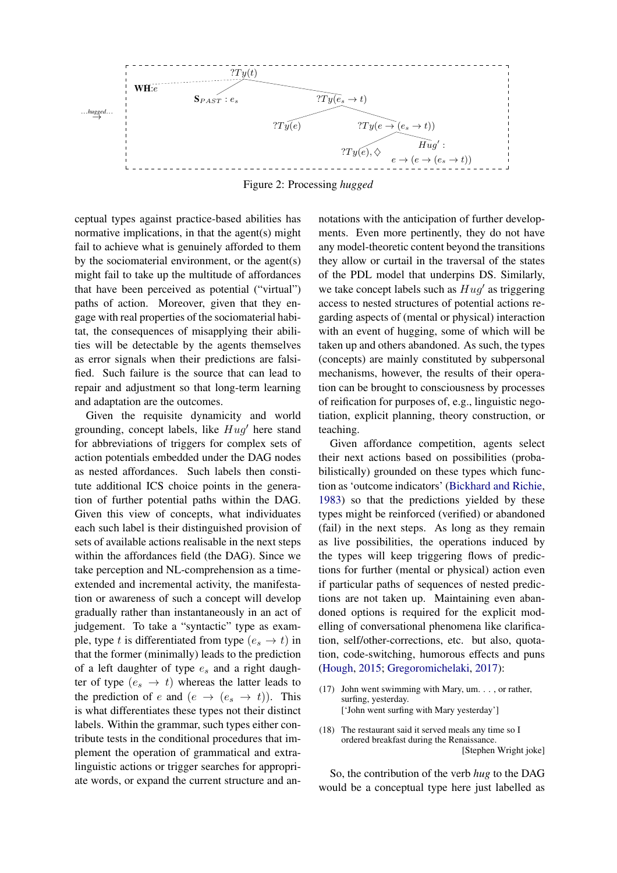

Figure 2: Processing *hugged*

ceptual types against practice-based abilities has normative implications, in that the agent(s) might fail to achieve what is genuinely afforded to them by the sociomaterial environment, or the agent(s) might fail to take up the multitude of affordances that have been perceived as potential ("virtual") paths of action. Moreover, given that they engage with real properties of the sociomaterial habitat, the consequences of misapplying their abilities will be detectable by the agents themselves as error signals when their predictions are falsified. Such failure is the source that can lead to repair and adjustment so that long-term learning and adaptation are the outcomes.

Given the requisite dynamicity and world grounding, concept labels, like  $Hug'$  here stand for abbreviations of triggers for complex sets of action potentials embedded under the DAG nodes as nested affordances. Such labels then constitute additional ICS choice points in the generation of further potential paths within the DAG. Given this view of concepts, what individuates each such label is their distinguished provision of sets of available actions realisable in the next steps within the affordances field (the DAG). Since we take perception and NL-comprehension as a timeextended and incremental activity, the manifestation or awareness of such a concept will develop gradually rather than instantaneously in an act of judgement. To take a "syntactic" type as example, type t is differentiated from type  $(e_s \rightarrow t)$  in that the former (minimally) leads to the prediction of a left daughter of type  $e_s$  and a right daughter of type  $(e_s \rightarrow t)$  whereas the latter leads to the prediction of e and  $(e \rightarrow (e_s \rightarrow t))$ . This is what differentiates these types not their distinct labels. Within the grammar, such types either contribute tests in the conditional procedures that implement the operation of grammatical and extralinguistic actions or trigger searches for appropriate words, or expand the current structure and an<span id="page-10-0"></span>notations with the anticipation of further developments. Even more pertinently, they do not have any model-theoretic content beyond the transitions they allow or curtail in the traversal of the states of the PDL model that underpins DS. Similarly, we take concept labels such as  $\overline{Hug'}$  as triggering access to nested structures of potential actions regarding aspects of (mental or physical) interaction with an event of hugging, some of which will be taken up and others abandoned. As such, the types (concepts) are mainly constituted by subpersonal mechanisms, however, the results of their operation can be brought to consciousness by processes of reification for purposes of, e.g., linguistic negotiation, explicit planning, theory construction, or teaching.

Given affordance competition, agents select their next actions based on possibilities (probabilistically) grounded on these types which function as 'outcome indicators' [\(Bickhard and Richie,](#page-13-4) [1983](#page-13-4)) so that the predictions yielded by these types might be reinforced (verified) or abandoned (fail) in the next steps. As long as they remain as live possibilities, the operations induced by the types will keep triggering flows of predictions for further (mental or physical) action even if particular paths of sequences of nested predictions are not taken up. Maintaining even abandoned options is required for the explicit modelling of conversational phenomena like clarification, self/other-corrections, etc. but also, quotation, code-switching, humorous effects and puns [\(Hough,](#page-14-16) [2015;](#page-14-16) [Gregoromichelaki,](#page-14-19) [2017](#page-14-19)):

- (17) John went swimming with Mary, um. . . , or rather, surfing, yesterday. ['John went surfing with Mary yesterday']
- (18) The restaurant said it served meals any time so I ordered breakfast during the Renaissance. [Stephen Wright joke]

So, the contribution of the verb *hug* to the DAG would be a conceptual type here just labelled as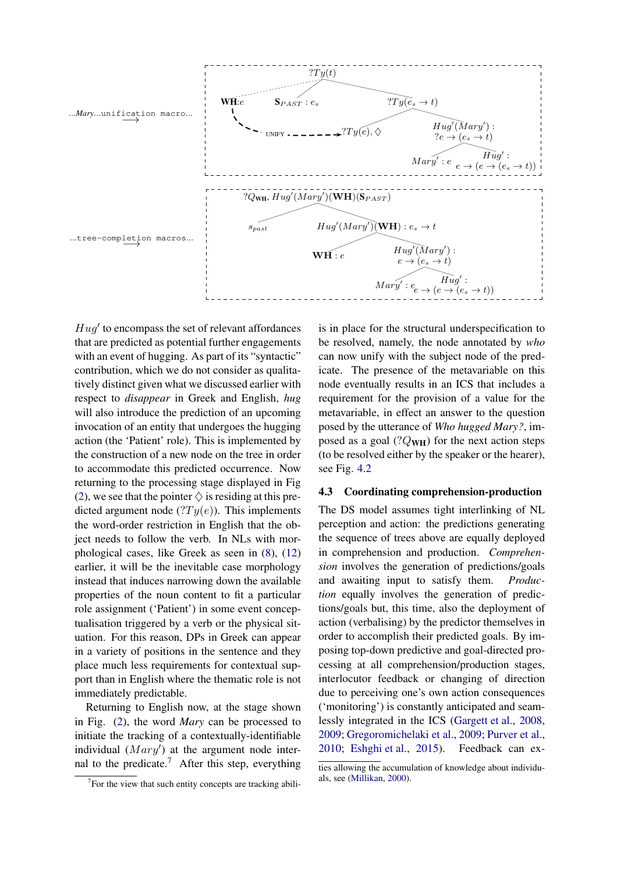

 $Hug'$  to encompass the set of relevant affordances that are predicted as potential further engagements with an event of hugging. As part of its "syntactic" contribution, which we do not consider as qualitatively distinct given what we discussed earlier with respect to *disappear* in Greek and English, *hug* will also introduce the prediction of an upcoming invocation of an entity that undergoes the hugging action (the 'Patient' role). This is implemented by the construction of a new node on the tree in order to accommodate this predicted occurrence. Now returning to the processing stage displayed in Fig [\(2\)](#page-10-0), we see that the pointer  $\diamondsuit$  is residing at this predicted argument node  $(Ty(e))$ . This implements the word-order restriction in English that the object needs to follow the verb. In NLs with morphological cases, like Greek as seen in [\(8\)](#page-4-1), [\(12\)](#page-5-0) earlier, it will be the inevitable case morphology instead that induces narrowing down the available properties of the noun content to fit a particular role assignment ('Patient') in some event conceptualisation triggered by a verb or the physical situation. For this reason, DPs in Greek can appear in a variety of positions in the sentence and they place much less requirements for contextual support than in English where the thematic role is not immediately predictable.

Returning to English now, at the stage shown in Fig. [\(2\)](#page-10-0), the word *Mary* can be processed to initiate the tracking of a contextually-identifiable individual  $(Mary')$  at the argument node internal to the predicate.<sup>7</sup> After this step, everything is in place for the structural underspecification to be resolved, namely, the node annotated by *who* can now unify with the subject node of the predicate. The presence of the metavariable on this node eventually results in an ICS that includes a requirement for the provision of a value for the metavariable, in effect an answer to the question posed by the utterance of *Who hugged Mary?*, imposed as a goal  $(?Q_{\text{WH}})$  for the next action steps (to be resolved either by the speaker or the hearer), see Fig. [4.2](#page-9-0)

#### **4.3 Coordinating comprehension-production**

The DS model assumes tight interlinking of NL perception and action: the predictions generating the sequence of trees above are equally deployed in comprehension and production. *Comprehension* involves the generation of predictions/goals and awaiting input to satisfy them. *Production* equally involves the generation of predictions/goals but, this time, also the deployment of action (verbalising) by the predictor themselves in order to accomplish their predicted goals. By imposing top-down predictive and goal-directed processing at all comprehension/production stages, interlocutor feedback or changing of direction due to perceiving one's own action consequences ('monitoring') is constantly anticipated and seamlessly integrated in the ICS [\(Gargett et al.](#page-14-21), [2008,](#page-14-21) [2009](#page-14-22); [Gregoromichelaki et al.,](#page-14-6) [2009;](#page-14-6) [Purver et al.,](#page-15-19) [2010](#page-15-19); [Eshghi et al.](#page-14-14), [2015](#page-14-14)). Feedback can ex-

 $7$  For the view that such entity concepts are tracking abili-

ties allowing the accumulation of knowledge about individuals, see [\(Millikan](#page-15-22), [2000\)](#page-15-22).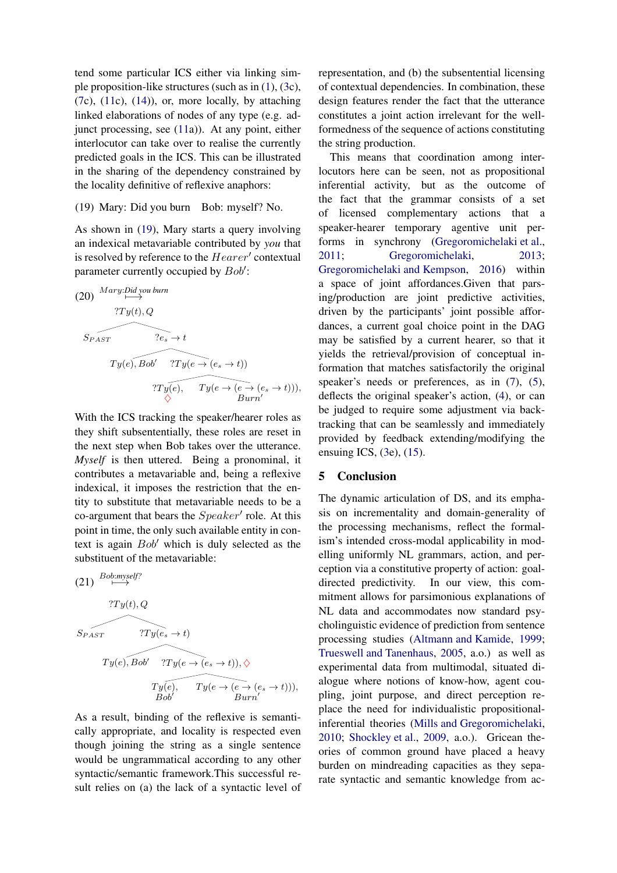tend some particular ICS either via linking simple proposition-like structures (such as in [\(1\)](#page-1-2), [\(3c](#page-1-1)),  $(7c)$  $(7c)$ ,  $(11c)$  $(11c)$ ,  $(14)$ ), or, more locally, by attaching linked elaborations of nodes of any type (e.g. adjunct processing, see [\(11a](#page-5-1))). At any point, either interlocutor can take over to realise the currently predicted goals in the ICS. This can be illustrated in the sharing of the dependency constrained by the locality definitive of reflexive anaphors:

### <span id="page-12-0"></span>(19) Mary: Did you burn Bob: myself? No.

As shown in [\(19\)](#page-12-0), Mary starts a query involving an indexical metavariable contributed by *you* that is resolved by reference to the  $Hearer'$  contextual parameter currently occupied by  $Bob'$ :

(20) 
$$
\overleftrightarrow{Mary:Did\, you\, burn}
$$
  
\n
$$
\overleftrightarrow{Ty(t), Q}
$$
  
\n
$$
\overleftrightarrow{Sy(e), Bob'} \overleftrightarrow{?Ty(e \rightarrow (e_s \rightarrow t))}
$$
  
\n
$$
\overleftrightarrow{?Ty(e), Ty(e \rightarrow (e \rightarrow (e_s \rightarrow t)))},
$$
  
\n
$$
\overleftrightarrow{Burn'}
$$

With the ICS tracking the speaker/hearer roles as they shift subsententially, these roles are reset in the next step when Bob takes over the utterance. *Myself* is then uttered. Being a pronominal, it contributes a metavariable and, being a reflexive indexical, it imposes the restriction that the entity to substitute that metavariable needs to be a co-argument that bears the  $Spear'$  role. At this point in time, the only such available entity in context is again Bob′ which is duly selected as the substituent of the metavariable:

(21) 
$$
\xrightarrow{Bob:myself?}
$$
  
\n?Ty(t), Q  
\n $S_{PAST}$  ?Ty(e<sub>s</sub> \to t)  
\n $Ty(e), Bob'$  ?Ty(e \to (e<sub>s</sub> \to t)),  $\Diamond$   
\n $Ty(e), Ty(e), Ty(e \to (e \to (e_s \to t))),$   
\nBob'

As a result, binding of the reflexive is semantically appropriate, and locality is respected even though joining the string as a single sentence would be ungrammatical according to any other syntactic/semantic framework.This successful result relies on (a) the lack of a syntactic level of representation, and (b) the subsentential licensing of contextual dependencies. In combination, these design features render the fact that the utterance constitutes a joint action irrelevant for the wellformedness of the sequence of actions constituting the string production.

This means that coordination among interlocutors here can be seen, not as propositional inferential activity, but as the outcome of the fact that the grammar consists of a set of licensed complementary actions that a speaker-hearer temporary agentive unit performs in synchrony [\(Gregoromichelaki et al.,](#page-14-4) [2011](#page-14-4); [Gregoromichelaki,](#page-14-23) [2013;](#page-14-23) [Gregoromichelaki and Kempson](#page-14-24), [2016\)](#page-14-24) within a space of joint affordances.Given that parsing/production are joint predictive activities, driven by the participants' joint possible affordances, a current goal choice point in the DAG may be satisfied by a current hearer, so that it yields the retrieval/provision of conceptual information that matches satisfactorily the original speaker's needs or preferences, as in  $(7)$ ,  $(5)$ , deflects the original speaker's action, [\(4\)](#page-3-2), or can be judged to require some adjustment via backtracking that can be seamlessly and immediately provided by feedback extending/modifying the ensuing ICS, [\(3e](#page-1-1)), [\(15\)](#page-6-0).

#### **5 Conclusion**

The dynamic articulation of DS, and its emphasis on incrementality and domain-generality of the processing mechanisms, reflect the formalism's intended cross-modal applicability in modelling uniformly NL grammars, action, and perception via a constitutive property of action: goaldirected predictivity. In our view, this commitment allows for parsimonious explanations of NL data and accommodates now standard psycholinguistic evidence of prediction from sentence processing studies [\(Altmann and Kamide,](#page-13-19) [1999;](#page-13-19) [Trueswell and Tanenhaus](#page-15-23), [2005,](#page-15-23) a.o.) as well as experimental data from multimodal, situated dialogue where notions of know-how, agent coupling, joint purpose, and direct perception replace the need for individualistic propositionalinferential theories [\(Mills and Gregoromichelaki,](#page-15-11) [2010](#page-15-11); [Shockley et al.](#page-15-24), [2009](#page-15-24), a.o.). Gricean theories of common ground have placed a heavy burden on mindreading capacities as they separate syntactic and semantic knowledge from ac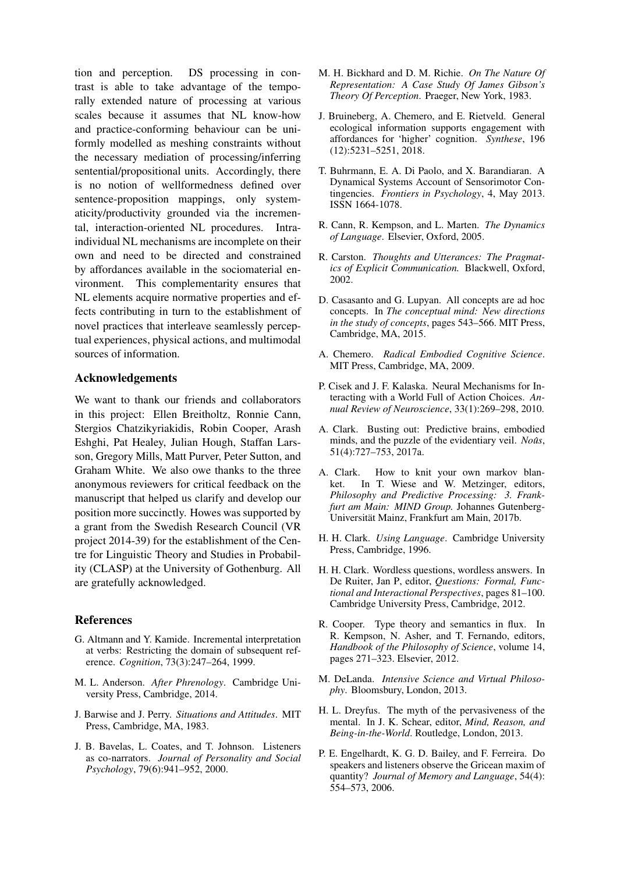tion and perception. DS processing in contrast is able to take advantage of the temporally extended nature of processing at various scales because it assumes that NL know-how and practice-conforming behaviour can be uniformly modelled as meshing constraints without the necessary mediation of processing/inferring sentential/propositional units. Accordingly, there is no notion of wellformedness defined over sentence-proposition mappings, only systematicity/productivity grounded via the incremental, interaction-oriented NL procedures. Intraindividual NL mechanisms are incomplete on their own and need to be directed and constrained by affordances available in the sociomaterial environment. This complementarity ensures that NL elements acquire normative properties and effects contributing in turn to the establishment of novel practices that interleave seamlessly perceptual experiences, physical actions, and multimodal sources of information.

## **Acknowledgements**

We want to thank our friends and collaborators in this project: Ellen Breitholtz, Ronnie Cann, Stergios Chatzikyriakidis, Robin Cooper, Arash Eshghi, Pat Healey, Julian Hough, Staffan Larsson, Gregory Mills, Matt Purver, Peter Sutton, and Graham White. We also owe thanks to the three anonymous reviewers for critical feedback on the manuscript that helped us clarify and develop our position more succinctly. Howes was supported by a grant from the Swedish Research Council (VR project 2014-39) for the establishment of the Centre for Linguistic Theory and Studies in Probability (CLASP) at the University of Gothenburg. All are gratefully acknowledged.

## **References**

- <span id="page-13-19"></span>G. Altmann and Y. Kamide. Incremental interpretation at verbs: Restricting the domain of subsequent reference. *Cognition*, 73(3):247–264, 1999.
- <span id="page-13-2"></span>M. L. Anderson. *After Phrenology*. Cambridge University Press, Cambridge, 2014.
- <span id="page-13-1"></span>J. Barwise and J. Perry. *Situations and Attitudes*. MIT Press, Cambridge, MA, 1983.
- <span id="page-13-8"></span>J. B. Bavelas, L. Coates, and T. Johnson. Listeners as co-narrators. *Journal of Personality and Social Psychology*, 79(6):941–952, 2000.
- <span id="page-13-4"></span>M. H. Bickhard and D. M. Richie. *On The Nature Of Representation: A Case Study Of James Gibson's Theory Of Perception*. Praeger, New York, 1983.
- <span id="page-13-6"></span>J. Bruineberg, A. Chemero, and E. Rietveld. General ecological information supports engagement with affordances for 'higher' cognition. *Synthese*, 196 (12):5231–5251, 2018.
- <span id="page-13-0"></span>T. Buhrmann, E. A. Di Paolo, and X. Barandiaran. A Dynamical Systems Account of Sensorimotor Contingencies. *Frontiers in Psychology*, 4, May 2013. ISSN 1664-1078.
- <span id="page-13-14"></span>R. Cann, R. Kempson, and L. Marten. *The Dynamics of Language*. Elsevier, Oxford, 2005.
- <span id="page-13-13"></span>R. Carston. *Thoughts and Utterances: The Pragmatics of Explicit Communication.* Blackwell, Oxford, 2002.
- <span id="page-13-12"></span>D. Casasanto and G. Lupyan. All concepts are ad hoc concepts. In *The conceptual mind: New directions in the study of concepts*, pages 543–566. MIT Press, Cambridge, MA, 2015.
- <span id="page-13-18"></span>A. Chemero. *Radical Embodied Cognitive Science*. MIT Press, Cambridge, MA, 2009.
- <span id="page-13-5"></span>P. Cisek and J. F. Kalaska. Neural Mechanisms for Interacting with a World Full of Action Choices. *Annual Review of Neuroscience*, 33(1):269–298, 2010.
- <span id="page-13-10"></span>A. Clark. Busting out: Predictive brains, embodied minds, and the puzzle of the evidentiary veil. *Noûs*, 51(4):727–753, 2017a.
- <span id="page-13-11"></span>A. Clark. How to knit your own markov blanket. In T. Wiese and W. Metzinger, editors, *Philosophy and Predictive Processing: 3. Frankfurt am Main: MIND Group.* Johannes Gutenberg-Universitat Mainz, Frankfurt am Main, 2017b. ¨
- <span id="page-13-7"></span>H. H. Clark. *Using Language*. Cambridge University Press, Cambridge, 1996.
- <span id="page-13-16"></span>H. H. Clark. Wordless questions, wordless answers. In De Ruiter, Jan P, editor, *Questions: Formal, Functional and Interactional Perspectives*, pages 81–100. Cambridge University Press, Cambridge, 2012.
- <span id="page-13-17"></span>R. Cooper. Type theory and semantics in flux. In R. Kempson, N. Asher, and T. Fernando, editors, *Handbook of the Philosophy of Science*, volume 14, pages 271–323. Elsevier, 2012.
- <span id="page-13-15"></span>M. DeLanda. *Intensive Science and Virtual Philosophy*. Bloomsbury, London, 2013.
- <span id="page-13-3"></span>H. L. Dreyfus. The myth of the pervasiveness of the mental. In J. K. Schear, editor, *Mind, Reason, and Being-in-the-World*. Routledge, London, 2013.
- <span id="page-13-9"></span>P. E. Engelhardt, K. G. D. Bailey, and F. Ferreira. Do speakers and listeners observe the Gricean maxim of quantity? *Journal of Memory and Language*, 54(4): 554–573, 2006.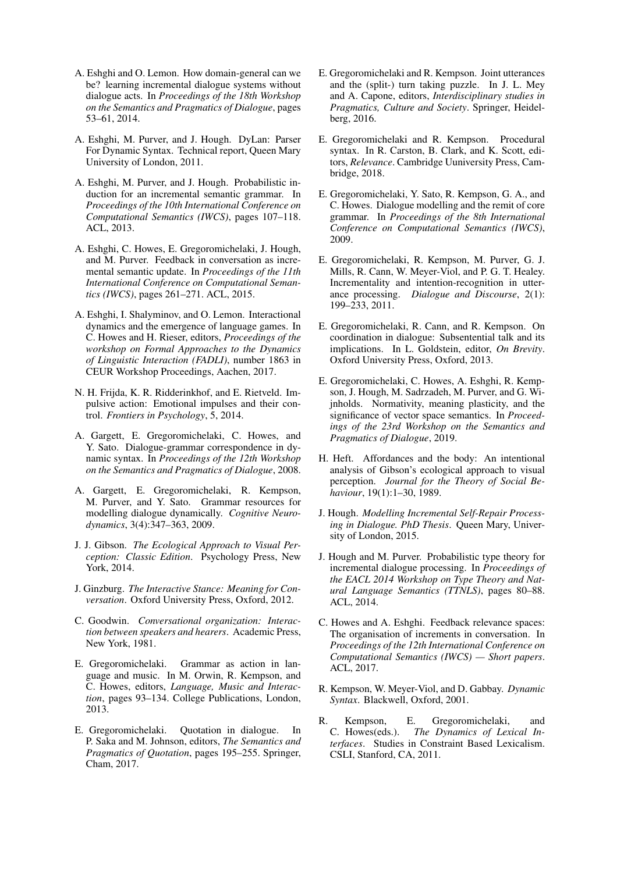- <span id="page-14-7"></span>A. Eshghi and O. Lemon. How domain-general can we be? learning incremental dialogue systems without dialogue acts. In *Proceedings of the 18th Workshop on the Semantics and Pragmatics of Dialogue*, pages 53–61, 2014.
- <span id="page-14-13"></span>A. Eshghi, M. Purver, and J. Hough. DyLan: Parser For Dynamic Syntax. Technical report, Queen Mary University of London, 2011.
- <span id="page-14-15"></span>A. Eshghi, M. Purver, and J. Hough. Probabilistic induction for an incremental semantic grammar. In *Proceedings of the 10th International Conference on Computational Semantics (IWCS)*, pages 107–118. ACL, 2013.
- <span id="page-14-14"></span>A. Eshghi, C. Howes, E. Gregoromichelaki, J. Hough, and M. Purver. Feedback in conversation as incremental semantic update. In *Proceedings of the 11th International Conference on Computational Semantics (IWCS)*, pages 261–271. ACL, 2015.
- <span id="page-14-8"></span>A. Eshghi, I. Shalyminov, and O. Lemon. Interactional dynamics and the emergence of language games. In C. Howes and H. Rieser, editors, *Proceedings of the workshop on Formal Approaches to the Dynamics of Linguistic Interaction (FADLI)*, number 1863 in CEUR Workshop Proceedings, Aachen, 2017.
- <span id="page-14-3"></span>N. H. Frijda, K. R. Ridderinkhof, and E. Rietveld. Impulsive action: Emotional impulses and their control. *Frontiers in Psychology*, 5, 2014.
- <span id="page-14-21"></span>A. Gargett, E. Gregoromichelaki, C. Howes, and Y. Sato. Dialogue-grammar correspondence in dynamic syntax. In *Proceedings of the 12th Workshop on the Semantics and Pragmatics of Dialogue*, 2008.
- <span id="page-14-22"></span>A. Gargett, E. Gregoromichelaki, R. Kempson, M. Purver, and Y. Sato. Grammar resources for modelling dialogue dynamically. *Cognitive Neurodynamics*, 3(4):347–363, 2009.
- <span id="page-14-1"></span>J. J. Gibson. *The Ecological Approach to Visual Perception: Classic Edition*. Psychology Press, New York, 2014.
- <span id="page-14-5"></span>J. Ginzburg. *The Interactive Stance: Meaning for Conversation*. Oxford University Press, Oxford, 2012.
- <span id="page-14-10"></span>C. Goodwin. *Conversational organization: Interaction between speakers and hearers*. Academic Press, New York, 1981.
- <span id="page-14-23"></span>E. Gregoromichelaki. Grammar as action in language and music. In M. Orwin, R. Kempson, and C. Howes, editors, *Language, Music and Interaction*, pages 93–134. College Publications, London, 2013.
- <span id="page-14-19"></span>E. Gregoromichelaki. Quotation in dialogue. In P. Saka and M. Johnson, editors, *The Semantics and Pragmatics of Quotation*, pages 195–255. Springer, Cham, 2017.
- <span id="page-14-24"></span>E. Gregoromichelaki and R. Kempson. Joint utterances and the (split-) turn taking puzzle. In J. L. Mey and A. Capone, editors, *Interdisciplinary studies in Pragmatics, Culture and Society*. Springer, Heidelberg, 2016.
- <span id="page-14-20"></span>E. Gregoromichelaki and R. Kempson. Procedural syntax. In R. Carston, B. Clark, and K. Scott, editors, *Relevance*. Cambridge Uuniversity Press, Cambridge, 2018.
- <span id="page-14-6"></span>E. Gregoromichelaki, Y. Sato, R. Kempson, G. A., and C. Howes. Dialogue modelling and the remit of core grammar. In *Proceedings of the 8th International Conference on Computational Semantics (IWCS)*, 2009.
- <span id="page-14-4"></span>E. Gregoromichelaki, R. Kempson, M. Purver, G. J. Mills, R. Cann, W. Meyer-Viol, and P. G. T. Healey. Incrementality and intention-recognition in utterance processing. *Dialogue and Discourse*, 2(1): 199–233, 2011.
- <span id="page-14-9"></span>E. Gregoromichelaki, R. Cann, and R. Kempson. On coordination in dialogue: Subsentential talk and its implications. In L. Goldstein, editor, *On Brevity*. Oxford University Press, Oxford, 2013.
- <span id="page-14-2"></span>E. Gregoromichelaki, C. Howes, A. Eshghi, R. Kempson, J. Hough, M. Sadrzadeh, M. Purver, and G. Wijnholds. Normativity, meaning plasticity, and the significance of vector space semantics. In *Proceedings of the 23rd Workshop on the Semantics and Pragmatics of Dialogue*, 2019.
- <span id="page-14-0"></span>H. Heft. Affordances and the body: An intentional analysis of Gibson's ecological approach to visual perception. *Journal for the Theory of Social Behaviour*, 19(1):1–30, 1989.
- <span id="page-14-16"></span>J. Hough. *Modelling Incremental Self-Repair Processing in Dialogue. PhD Thesis*. Queen Mary, University of London, 2015.
- <span id="page-14-18"></span>J. Hough and M. Purver. Probabilistic type theory for incremental dialogue processing. In *Proceedings of the EACL 2014 Workshop on Type Theory and Natural Language Semantics (TTNLS)*, pages 80–88. ACL, 2014.
- <span id="page-14-17"></span>C. Howes and A. Eshghi. Feedback relevance spaces: The organisation of increments in conversation. In *Proceedings of the 12th International Conference on Computational Semantics (IWCS) — Short papers*. ACL, 2017.
- <span id="page-14-11"></span>R. Kempson, W. Meyer-Viol, and D. Gabbay. *Dynamic Syntax*. Blackwell, Oxford, 2001.
- <span id="page-14-12"></span>R. Kempson, E. Gregoromichelaki, and<br>C. Howes(eds.). The Dynamics of Lexical In-The Dynamics of Lexical In*terfaces*. Studies in Constraint Based Lexicalism. CSLI, Stanford, CA, 2011.